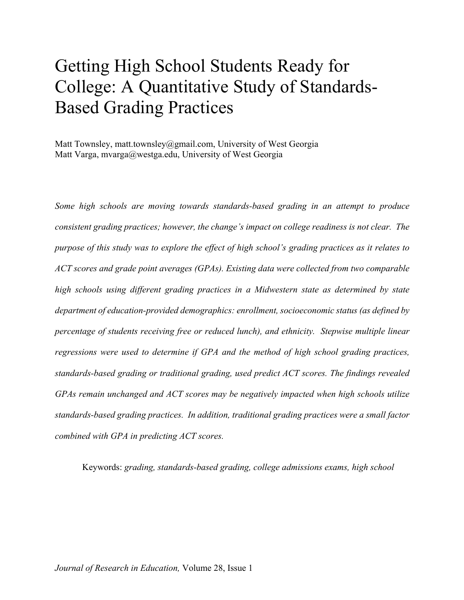# Getting High School Students Ready for College: A Quantitative Study of Standards-Based Grading Practices

Matt Townsley, matt.townsley@gmail.com, University of West Georgia Matt Varga, mvarga@westga.edu, University of West Georgia

*Some high schools are moving towards standards-based grading in an attempt to produce consistent grading practices; however, the change's impact on college readiness is not clear. The purpose of this study was to explore the effect of high school's grading practices as it relates to ACT scores and grade point averages (GPAs). Existing data were collected from two comparable high schools using different grading practices in a Midwestern state as determined by state department of education-provided demographics: enrollment, socioeconomic status (as defined by percentage of students receiving free or reduced lunch), and ethnicity. Stepwise multiple linear regressions were used to determine if GPA and the method of high school grading practices, standards-based grading or traditional grading, used predict ACT scores. The findings revealed GPAs remain unchanged and ACT scores may be negatively impacted when high schools utilize standards-based grading practices. In addition, traditional grading practices were a small factor combined with GPA in predicting ACT scores.* 

Keywords: *grading, standards-based grading, college admissions exams, high school*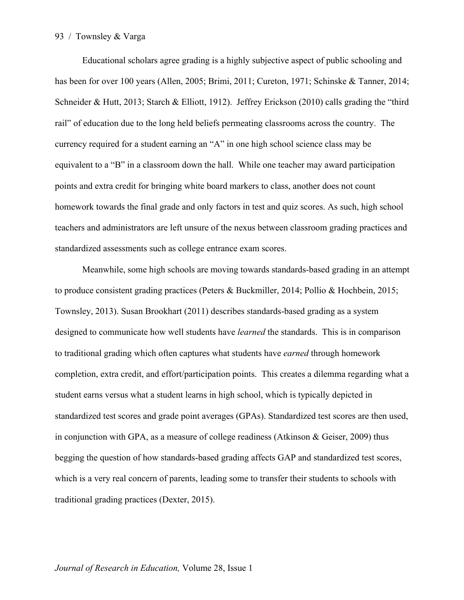Educational scholars agree grading is a highly subjective aspect of public schooling and has been for over 100 years (Allen, 2005; Brimi, 2011; Cureton, 1971; Schinske & Tanner, 2014; Schneider & Hutt, 2013; Starch & Elliott, 1912). Jeffrey Erickson (2010) calls grading the "third rail" of education due to the long held beliefs permeating classrooms across the country. The currency required for a student earning an "A" in one high school science class may be equivalent to a "B" in a classroom down the hall. While one teacher may award participation points and extra credit for bringing white board markers to class, another does not count homework towards the final grade and only factors in test and quiz scores. As such, high school teachers and administrators are left unsure of the nexus between classroom grading practices and standardized assessments such as college entrance exam scores.

Meanwhile, some high schools are moving towards standards-based grading in an attempt to produce consistent grading practices (Peters & Buckmiller, 2014; Pollio & Hochbein, 2015; Townsley, 2013). Susan Brookhart (2011) describes standards-based grading as a system designed to communicate how well students have *learned* the standards. This is in comparison to traditional grading which often captures what students have *earned* through homework completion, extra credit, and effort/participation points. This creates a dilemma regarding what a student earns versus what a student learns in high school, which is typically depicted in standardized test scores and grade point averages (GPAs). Standardized test scores are then used, in conjunction with GPA, as a measure of college readiness (Atkinson & Geiser, 2009) thus begging the question of how standards-based grading affects GAP and standardized test scores, which is a very real concern of parents, leading some to transfer their students to schools with traditional grading practices (Dexter, 2015).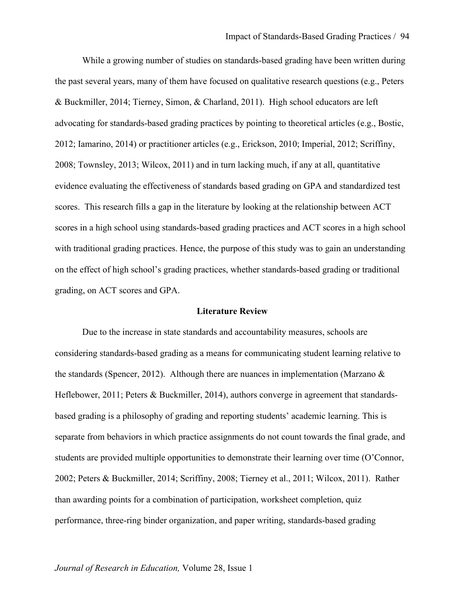While a growing number of studies on standards-based grading have been written during the past several years, many of them have focused on qualitative research questions (e.g., Peters & Buckmiller, 2014; Tierney, Simon, & Charland, 2011). High school educators are left advocating for standards-based grading practices by pointing to theoretical articles (e.g., Bostic, 2012; Iamarino, 2014) or practitioner articles (e.g., Erickson, 2010; Imperial, 2012; Scriffiny, 2008; Townsley, 2013; Wilcox, 2011) and in turn lacking much, if any at all, quantitative evidence evaluating the effectiveness of standards based grading on GPA and standardized test scores. This research fills a gap in the literature by looking at the relationship between ACT scores in a high school using standards-based grading practices and ACT scores in a high school with traditional grading practices. Hence, the purpose of this study was to gain an understanding on the effect of high school's grading practices, whether standards-based grading or traditional grading, on ACT scores and GPA.

#### **Literature Review**

Due to the increase in state standards and accountability measures, schools are considering standards-based grading as a means for communicating student learning relative to the standards (Spencer, 2012). Although there are nuances in implementation (Marzano  $\&$ Heflebower, 2011; Peters & Buckmiller, 2014), authors converge in agreement that standardsbased grading is a philosophy of grading and reporting students' academic learning. This is separate from behaviors in which practice assignments do not count towards the final grade, and students are provided multiple opportunities to demonstrate their learning over time (O'Connor, 2002; Peters & Buckmiller, 2014; Scriffiny, 2008; Tierney et al., 2011; Wilcox, 2011). Rather than awarding points for a combination of participation, worksheet completion, quiz performance, three-ring binder organization, and paper writing, standards-based grading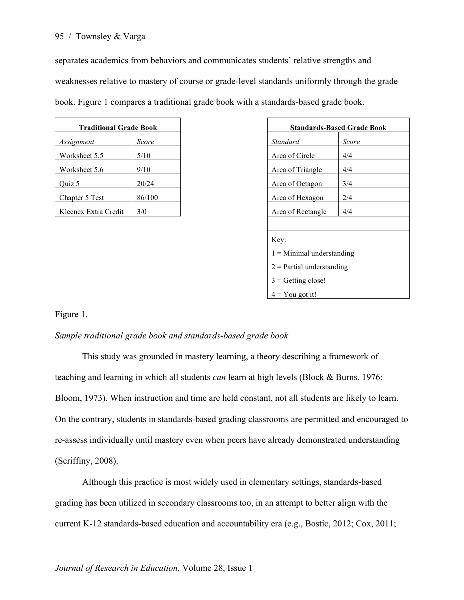separates academics from behaviors and communicates students' relative strengths and

weaknesses relative to mastery of course or grade-level standards uniformly through the grade

book. Figure 1 compares a traditional grade book with a standards-based grade book.

| <b>Traditional Grade Book</b> |        | <b>Standards-Based Gra</b> |       |
|-------------------------------|--------|----------------------------|-------|
| Assignment                    | Score  | <b>Standard</b>            | Score |
| Worksheet 5.5                 | 5/10   | Area of Circle             | 4/4   |
| Worksheet 5.6                 | 9/10   | Area of Triangle           | 4/4   |
| Quiz 5                        | 20/24  | Area of Octagon            | 3/4   |
| Chapter 5 Test                | 86/100 | Area of Hexagon            | 2/4   |
| Kleenex Extra Credit          | 3/0    | Area of Rectangle          | 4/4   |

| <b>Traditional Grade Book</b> |        | <b>Standards-Based Grade Book</b> |       |
|-------------------------------|--------|-----------------------------------|-------|
| ment                          | Score  | Standard                          | Score |
| heet 5.5                      | 5/10   | Area of Circle                    | 4/4   |
| heet $5.6$                    | 9/10   | Area of Triangle                  | 4/4   |
|                               | 20/24  | Area of Octagon                   | 3/4   |
| er 5 Test                     | 86/100 | Area of Hexagon                   | 2/4   |
| ex Extra Credit               | 3/0    | Area of Rectangle                 | 4/4   |
|                               |        |                                   |       |
|                               |        | Key:                              |       |
| $1 =$ Minimal understanding   |        |                                   |       |
|                               |        | $2$ = Partial understanding       |       |
|                               |        | $3 =$ Getting close!              |       |
|                               |        | $4 = You got it!$                 |       |

# Figure 1.

# *Sample traditional grade book and standards-based grade book*

This study was grounded in mastery learning, a theory describing a framework of teaching and learning in which all students *can* learn at high levels (Block & Burns, 1976; Bloom, 1973). When instruction and time are held constant, not all students are likely to learn. On the contrary, students in standards-based grading classrooms are permitted and encouraged to re-assess individually until mastery even when peers have already demonstrated understanding (Scriffiny, 2008).

Although this practice is most widely used in elementary settings, standards-based grading has been utilized in secondary classrooms too, in an attempt to better align with the current K-12 standards-based education and accountability era (e.g., Bostic, 2012; Cox, 2011;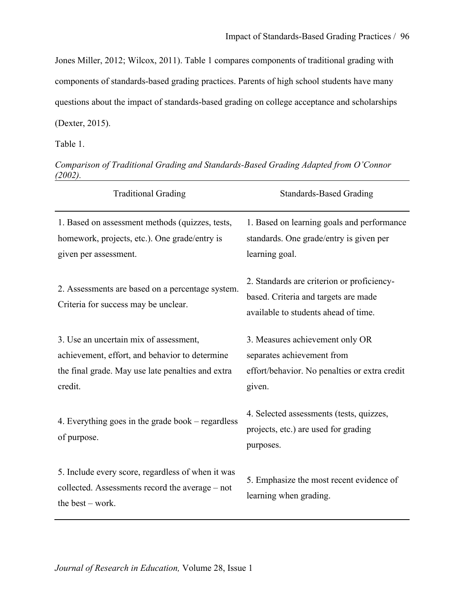Jones Miller, 2012; Wilcox, 2011). Table 1 compares components of traditional grading with components of standards-based grading practices. Parents of high school students have many questions about the impact of standards-based grading on college acceptance and scholarships (Dexter, 2015).

Table 1.

*Comparison of Traditional Grading and Standards-Based Grading Adapted from O'Connor (2002).* 

| <b>Traditional Grading</b>                                                                                                                               | <b>Standards-Based Grading</b>                                                                                             |
|----------------------------------------------------------------------------------------------------------------------------------------------------------|----------------------------------------------------------------------------------------------------------------------------|
| 1. Based on assessment methods (quizzes, tests,<br>homework, projects, etc.). One grade/entry is<br>given per assessment.                                | 1. Based on learning goals and performance<br>standards. One grade/entry is given per<br>learning goal.                    |
| 2. Assessments are based on a percentage system.<br>Criteria for success may be unclear.                                                                 | 2. Standards are criterion or proficiency-<br>based. Criteria and targets are made<br>available to students ahead of time. |
| 3. Use an uncertain mix of assessment,<br>achievement, effort, and behavior to determine<br>the final grade. May use late penalties and extra<br>credit. | 3. Measures achievement only OR<br>separates achievement from<br>effort/behavior. No penalties or extra credit<br>given.   |
| 4. Everything goes in the grade book – regardless<br>of purpose.                                                                                         | 4. Selected assessments (tests, quizzes,<br>projects, etc.) are used for grading<br>purposes.                              |
| 5. Include every score, regardless of when it was<br>collected. Assessments record the average – not<br>the best $-$ work.                               | 5. Emphasize the most recent evidence of<br>learning when grading.                                                         |

*Journal of Research in Education,* Volume 28, Issue 1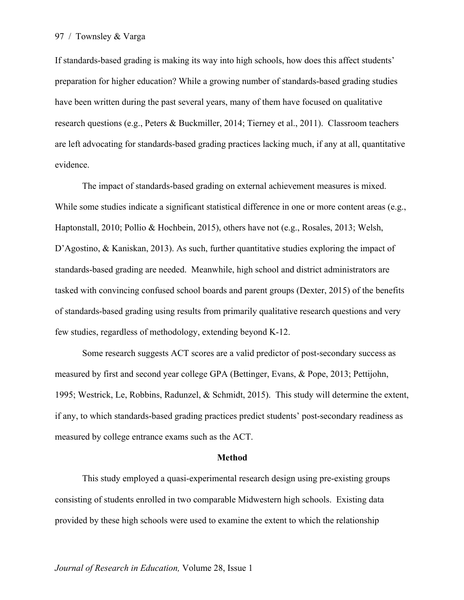If standards-based grading is making its way into high schools, how does this affect students' preparation for higher education? While a growing number of standards-based grading studies have been written during the past several years, many of them have focused on qualitative research questions (e.g., Peters & Buckmiller, 2014; Tierney et al., 2011). Classroom teachers are left advocating for standards-based grading practices lacking much, if any at all, quantitative evidence.

The impact of standards-based grading on external achievement measures is mixed. While some studies indicate a significant statistical difference in one or more content areas (e.g., Haptonstall, 2010; Pollio & Hochbein, 2015), others have not (e.g., Rosales, 2013; Welsh, D'Agostino, & Kaniskan, 2013). As such, further quantitative studies exploring the impact of standards-based grading are needed. Meanwhile, high school and district administrators are tasked with convincing confused school boards and parent groups (Dexter, 2015) of the benefits of standards-based grading using results from primarily qualitative research questions and very few studies, regardless of methodology, extending beyond K-12.

Some research suggests ACT scores are a valid predictor of post-secondary success as measured by first and second year college GPA (Bettinger, Evans, & Pope, 2013; Pettijohn, 1995; Westrick, Le, Robbins, Radunzel, & Schmidt, 2015). This study will determine the extent, if any, to which standards-based grading practices predict students' post-secondary readiness as measured by college entrance exams such as the ACT.

#### **Method**

This study employed a quasi-experimental research design using pre-existing groups consisting of students enrolled in two comparable Midwestern high schools. Existing data provided by these high schools were used to examine the extent to which the relationship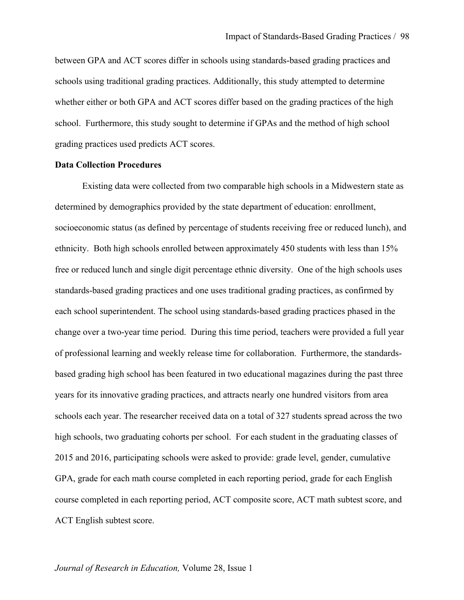between GPA and ACT scores differ in schools using standards-based grading practices and schools using traditional grading practices. Additionally, this study attempted to determine whether either or both GPA and ACT scores differ based on the grading practices of the high school. Furthermore, this study sought to determine if GPAs and the method of high school grading practices used predicts ACT scores.

## **Data Collection Procedures**

Existing data were collected from two comparable high schools in a Midwestern state as determined by demographics provided by the state department of education: enrollment, socioeconomic status (as defined by percentage of students receiving free or reduced lunch), and ethnicity. Both high schools enrolled between approximately 450 students with less than 15% free or reduced lunch and single digit percentage ethnic diversity. One of the high schools uses standards-based grading practices and one uses traditional grading practices, as confirmed by each school superintendent. The school using standards-based grading practices phased in the change over a two-year time period. During this time period, teachers were provided a full year of professional learning and weekly release time for collaboration. Furthermore, the standardsbased grading high school has been featured in two educational magazines during the past three years for its innovative grading practices, and attracts nearly one hundred visitors from area schools each year. The researcher received data on a total of 327 students spread across the two high schools, two graduating cohorts per school. For each student in the graduating classes of 2015 and 2016, participating schools were asked to provide: grade level, gender, cumulative GPA, grade for each math course completed in each reporting period, grade for each English course completed in each reporting period, ACT composite score, ACT math subtest score, and ACT English subtest score.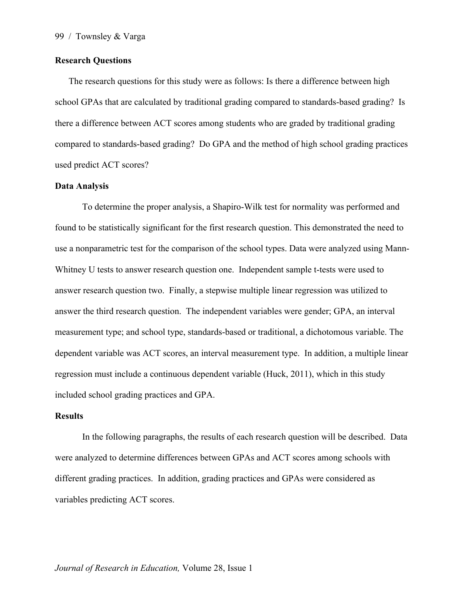# **Research Questions**

The research questions for this study were as follows: Is there a difference between high school GPAs that are calculated by traditional grading compared to standards-based grading? Is there a difference between ACT scores among students who are graded by traditional grading compared to standards-based grading? Do GPA and the method of high school grading practices used predict ACT scores?

# **Data Analysis**

To determine the proper analysis, a Shapiro-Wilk test for normality was performed and found to be statistically significant for the first research question. This demonstrated the need to use a nonparametric test for the comparison of the school types. Data were analyzed using Mann-Whitney U tests to answer research question one. Independent sample t-tests were used to answer research question two. Finally, a stepwise multiple linear regression was utilized to answer the third research question. The independent variables were gender; GPA, an interval measurement type; and school type, standards-based or traditional, a dichotomous variable. The dependent variable was ACT scores, an interval measurement type. In addition, a multiple linear regression must include a continuous dependent variable (Huck, 2011), which in this study included school grading practices and GPA.

## **Results**

In the following paragraphs, the results of each research question will be described. Data were analyzed to determine differences between GPAs and ACT scores among schools with different grading practices. In addition, grading practices and GPAs were considered as variables predicting ACT scores.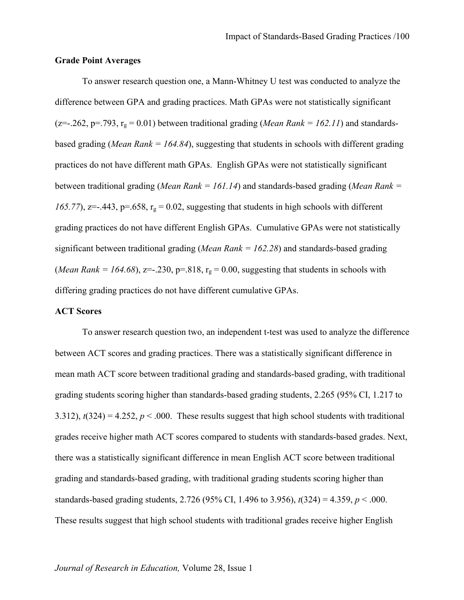## **Grade Point Averages**

To answer research question one, a Mann-Whitney U test was conducted to analyze the difference between GPA and grading practices. Math GPAs were not statistically significant (z=-.262, p=.793,  $r_g$  = 0.01) between traditional grading (*Mean Rank = 162.11*) and standardsbased grading (*Mean Rank = 164.84*), suggesting that students in schools with different grading practices do not have different math GPAs. English GPAs were not statistically significant between traditional grading (*Mean Rank = 161.14*) and standards-based grading (*Mean Rank = 165.77*), z=-.443, p=.658,  $r_g = 0.02$ , suggesting that students in high schools with different grading practices do not have different English GPAs. Cumulative GPAs were not statistically significant between traditional grading (*Mean Rank = 162.28*) and standards-based grading (*Mean Rank* = 164.68),  $z=-230$ ,  $p=.818$ ,  $r_g = 0.00$ , suggesting that students in schools with differing grading practices do not have different cumulative GPAs.

#### **ACT Scores**

To answer research question two, an independent t-test was used to analyze the difference between ACT scores and grading practices. There was a statistically significant difference in mean math ACT score between traditional grading and standards-based grading, with traditional grading students scoring higher than standards-based grading students, 2.265 (95% CI, 1.217 to 3.312),  $t(324) = 4.252$ ,  $p < .000$ . These results suggest that high school students with traditional grades receive higher math ACT scores compared to students with standards-based grades. Next, there was a statistically significant difference in mean English ACT score between traditional grading and standards-based grading, with traditional grading students scoring higher than standards-based grading students, 2.726 (95% CI, 1.496 to 3.956), *t*(324) = 4.359, *p* < .000. These results suggest that high school students with traditional grades receive higher English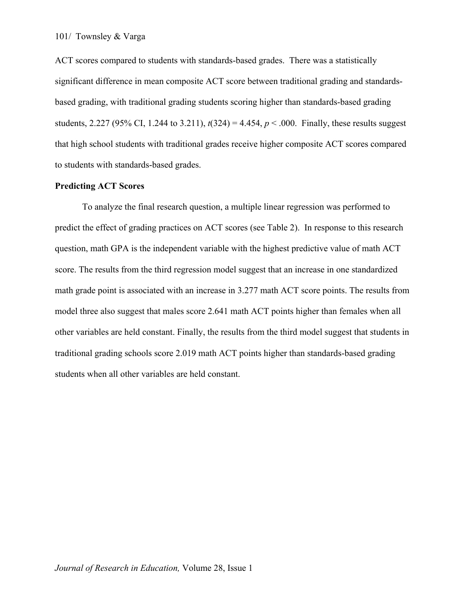ACT scores compared to students with standards-based grades. There was a statistically significant difference in mean composite ACT score between traditional grading and standardsbased grading, with traditional grading students scoring higher than standards-based grading students, 2.227 (95% CI, 1.244 to 3.211),  $t(324) = 4.454$ ,  $p < .000$ . Finally, these results suggest that high school students with traditional grades receive higher composite ACT scores compared to students with standards-based grades.

## **Predicting ACT Scores**

To analyze the final research question, a multiple linear regression was performed to predict the effect of grading practices on ACT scores (see Table 2). In response to this research question, math GPA is the independent variable with the highest predictive value of math ACT score. The results from the third regression model suggest that an increase in one standardized math grade point is associated with an increase in 3.277 math ACT score points. The results from model three also suggest that males score 2.641 math ACT points higher than females when all other variables are held constant. Finally, the results from the third model suggest that students in traditional grading schools score 2.019 math ACT points higher than standards-based grading students when all other variables are held constant.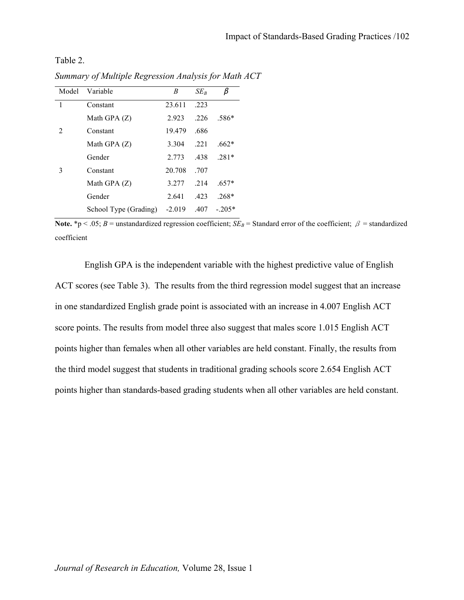Table 2.

| Model          | Variable              | B        | $SE_{B}$ | β        |
|----------------|-----------------------|----------|----------|----------|
| $\mathbf{1}$   | Constant              | 23.611   | .223     |          |
|                | Math GPA $(Z)$        | 2.923    | .226     | .586*    |
| $\mathfrak{D}$ | Constant              | 19.479   | .686     |          |
|                | Math GPA $(Z)$        | 3.304    | .221     | $.662*$  |
|                | Gender                | 2.773    | .438     | $.281*$  |
| 3              | Constant              | 20.708   | .707     |          |
|                | Math GPA $(Z)$        | 3.277    | .214     | $.657*$  |
|                | Gender                | 2.641    | .423     | $.268*$  |
|                | School Type (Grading) | $-2.019$ | .407     | $-.205*$ |

*Summary of Multiple Regression Analysis for Math ACT*

**Note.** \*p < .05; *B* = unstandardized regression coefficient;  $SE_B$  = Standard error of the coefficient;  $\beta$  = standardized coefficient

English GPA is the independent variable with the highest predictive value of English ACT scores (see Table 3). The results from the third regression model suggest that an increase in one standardized English grade point is associated with an increase in 4.007 English ACT score points. The results from model three also suggest that males score 1.015 English ACT points higher than females when all other variables are held constant. Finally, the results from the third model suggest that students in traditional grading schools score 2.654 English ACT points higher than standards-based grading students when all other variables are held constant.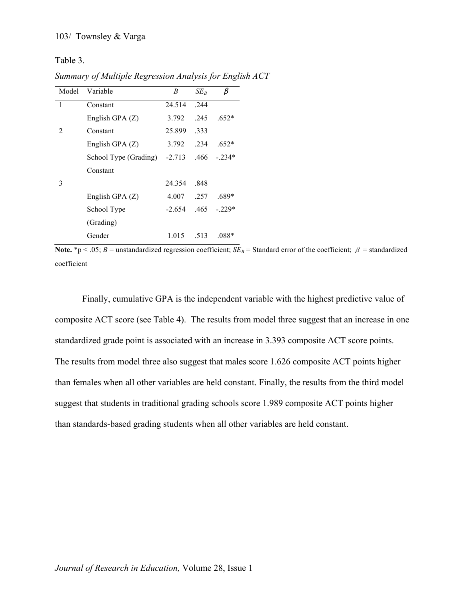Table 3.

*Summary of Multiple Regression Analysis for English ACT*

| Model          | Variable              | B        | $SE_{B}$ | β       |
|----------------|-----------------------|----------|----------|---------|
| 1              | Constant              | 24.514   | .244     |         |
|                | English GPA $(Z)$     | 3.792    | .245     | $.652*$ |
| $\mathfrak{D}$ | Constant              | 25.899   | .333     |         |
|                | English GPA $(Z)$     | 3.792    | .234     | $.652*$ |
|                | School Type (Grading) | $-2.713$ | .466     | - 234*  |
|                | Constant              |          |          |         |
| 3              |                       | 24.354   | .848     |         |
|                | English GPA $(Z)$     | 4.007    | .257     | .689*   |
|                | School Type           | $-2.654$ | .465     | $-229*$ |
|                | (Grading)             |          |          |         |
|                | Gender                | 1.015    | .513     | $.088*$ |

**Note.** \*p < .05; *B* = unstandardized regression coefficient;  $SE_B$  = Standard error of the coefficient;  $\beta$  = standardized coefficient

Finally, cumulative GPA is the independent variable with the highest predictive value of composite ACT score (see Table 4). The results from model three suggest that an increase in one standardized grade point is associated with an increase in 3.393 composite ACT score points. The results from model three also suggest that males score 1.626 composite ACT points higher than females when all other variables are held constant. Finally, the results from the third model suggest that students in traditional grading schools score 1.989 composite ACT points higher than standards-based grading students when all other variables are held constant.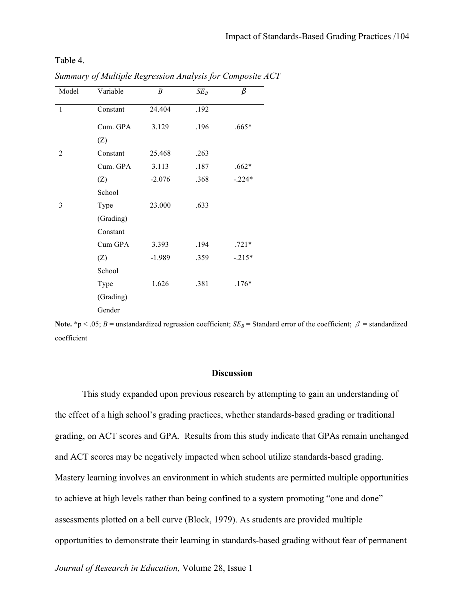Table 4.

| Model        | Variable  | B        | $SE_B$ | β        |
|--------------|-----------|----------|--------|----------|
| $\mathbf{1}$ | Constant  | 24.404   | .192   |          |
|              | Cum. GPA  | 3.129    | .196   | $.665*$  |
|              | (Z)       |          |        |          |
| 2            | Constant  | 25.468   | .263   |          |
|              | Cum. GPA  | 3.113    | .187   | $.662*$  |
|              | (Z)       | $-2.076$ | .368   | $-.224*$ |
|              | School    |          |        |          |
| 3            | Type      | 23.000   | .633   |          |
|              | (Grading) |          |        |          |
|              | Constant  |          |        |          |
|              | Cum GPA   | 3.393    | .194   | $.721*$  |
|              | (Z)       | $-1.989$ | .359   | $-.215*$ |
|              | School    |          |        |          |
|              | Type      | 1.626    | .381   | $.176*$  |
|              | (Grading) |          |        |          |
|              | Gender    |          |        |          |

*Summary of Multiple Regression Analysis for Composite ACT*

**Note.** \*p < .05; *B* = unstandardized regression coefficient; *SE<sub>B</sub>* = Standard error of the coefficient;  $\beta$  = standardized coefficient

# **Discussion**

This study expanded upon previous research by attempting to gain an understanding of the effect of a high school's grading practices, whether standards-based grading or traditional grading, on ACT scores and GPA. Results from this study indicate that GPAs remain unchanged and ACT scores may be negatively impacted when school utilize standards-based grading. Mastery learning involves an environment in which students are permitted multiple opportunities to achieve at high levels rather than being confined to a system promoting "one and done" assessments plotted on a bell curve (Block, 1979). As students are provided multiple opportunities to demonstrate their learning in standards-based grading without fear of permanent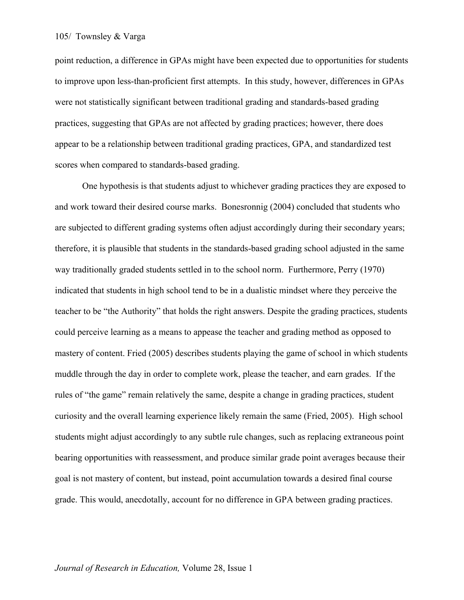point reduction, a difference in GPAs might have been expected due to opportunities for students to improve upon less-than-proficient first attempts. In this study, however, differences in GPAs were not statistically significant between traditional grading and standards-based grading practices, suggesting that GPAs are not affected by grading practices; however, there does appear to be a relationship between traditional grading practices, GPA, and standardized test scores when compared to standards-based grading.

One hypothesis is that students adjust to whichever grading practices they are exposed to and work toward their desired course marks. Bonesronnig (2004) concluded that students who are subjected to different grading systems often adjust accordingly during their secondary years; therefore, it is plausible that students in the standards-based grading school adjusted in the same way traditionally graded students settled in to the school norm. Furthermore, Perry (1970) indicated that students in high school tend to be in a dualistic mindset where they perceive the teacher to be "the Authority" that holds the right answers. Despite the grading practices, students could perceive learning as a means to appease the teacher and grading method as opposed to mastery of content. Fried (2005) describes students playing the game of school in which students muddle through the day in order to complete work, please the teacher, and earn grades. If the rules of "the game" remain relatively the same, despite a change in grading practices, student curiosity and the overall learning experience likely remain the same (Fried, 2005). High school students might adjust accordingly to any subtle rule changes, such as replacing extraneous point bearing opportunities with reassessment, and produce similar grade point averages because their goal is not mastery of content, but instead, point accumulation towards a desired final course grade. This would, anecdotally, account for no difference in GPA between grading practices.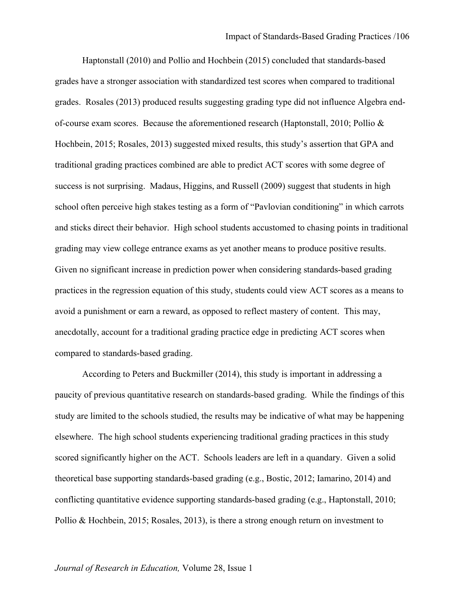Haptonstall (2010) and Pollio and Hochbein (2015) concluded that standards-based grades have a stronger association with standardized test scores when compared to traditional grades. Rosales (2013) produced results suggesting grading type did not influence Algebra endof-course exam scores. Because the aforementioned research (Haptonstall, 2010; Pollio & Hochbein, 2015; Rosales, 2013) suggested mixed results, this study's assertion that GPA and traditional grading practices combined are able to predict ACT scores with some degree of success is not surprising. Madaus, Higgins, and Russell (2009) suggest that students in high school often perceive high stakes testing as a form of "Pavlovian conditioning" in which carrots and sticks direct their behavior. High school students accustomed to chasing points in traditional grading may view college entrance exams as yet another means to produce positive results. Given no significant increase in prediction power when considering standards-based grading practices in the regression equation of this study, students could view ACT scores as a means to avoid a punishment or earn a reward, as opposed to reflect mastery of content. This may, anecdotally, account for a traditional grading practice edge in predicting ACT scores when compared to standards-based grading.

According to Peters and Buckmiller (2014), this study is important in addressing a paucity of previous quantitative research on standards-based grading. While the findings of this study are limited to the schools studied, the results may be indicative of what may be happening elsewhere. The high school students experiencing traditional grading practices in this study scored significantly higher on the ACT. Schools leaders are left in a quandary. Given a solid theoretical base supporting standards-based grading (e.g., Bostic, 2012; Iamarino, 2014) and conflicting quantitative evidence supporting standards-based grading (e.g., Haptonstall, 2010; Pollio & Hochbein, 2015; Rosales, 2013), is there a strong enough return on investment to

#### *Journal of Research in Education,* Volume 28, Issue 1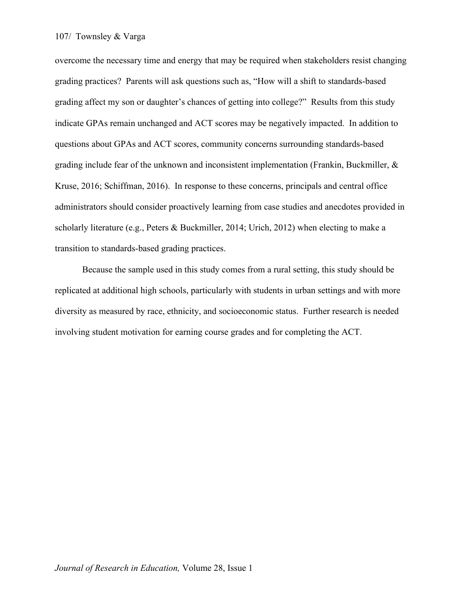overcome the necessary time and energy that may be required when stakeholders resist changing grading practices? Parents will ask questions such as, "How will a shift to standards-based grading affect my son or daughter's chances of getting into college?" Results from this study indicate GPAs remain unchanged and ACT scores may be negatively impacted. In addition to questions about GPAs and ACT scores, community concerns surrounding standards-based grading include fear of the unknown and inconsistent implementation (Frankin, Buckmiller, & Kruse, 2016; Schiffman, 2016). In response to these concerns, principals and central office administrators should consider proactively learning from case studies and anecdotes provided in scholarly literature (e.g., Peters & Buckmiller, 2014; Urich, 2012) when electing to make a transition to standards-based grading practices.

Because the sample used in this study comes from a rural setting, this study should be replicated at additional high schools, particularly with students in urban settings and with more diversity as measured by race, ethnicity, and socioeconomic status. Further research is needed involving student motivation for earning course grades and for completing the ACT.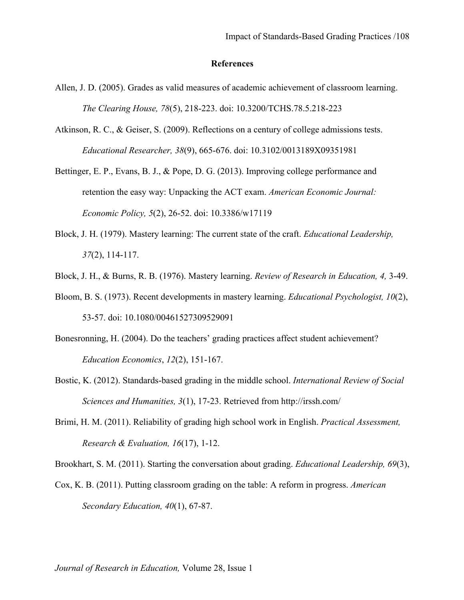# **References**

- Allen, J. D. (2005). Grades as valid measures of academic achievement of classroom learning. *The Clearing House, 78*(5), 218-223. doi: 10.3200/TCHS.78.5.218-223
- Atkinson, R. C., & Geiser, S. (2009). Reflections on a century of college admissions tests. *Educational Researcher, 38*(9), 665-676. doi: 10.3102/0013189X09351981
- Bettinger, E. P., Evans, B. J., & Pope, D. G. (2013). Improving college performance and retention the easy way: Unpacking the ACT exam. *American Economic Journal: Economic Policy, 5*(2), 26-52. doi: 10.3386/w17119
- Block, J. H. (1979). Mastery learning: The current state of the craft. *Educational Leadership, 37*(2), 114-117.
- Block, J. H., & Burns, R. B. (1976). Mastery learning. *Review of Research in Education, 4,* 3-49.
- Bloom, B. S. (1973). Recent developments in mastery learning. *Educational Psychologist, 10*(2), 53-57. doi: 10.1080/00461527309529091
- Bonesronning, H. (2004). Do the teachers' grading practices affect student achievement? *Education Economics*, *12*(2), 151-167.
- Bostic, K. (2012). Standards-based grading in the middle school. *International Review of Social Sciences and Humanities, 3*(1), 17-23. Retrieved from http://irssh.com/
- Brimi, H. M. (2011). Reliability of grading high school work in English. *Practical Assessment, Research & Evaluation, 16*(17), 1-12.

Brookhart, S. M. (2011). Starting the conversation about grading. *Educational Leadership, 69*(3),

Cox, K. B. (2011). Putting classroom grading on the table: A reform in progress. *American Secondary Education, 40*(1), 67-87.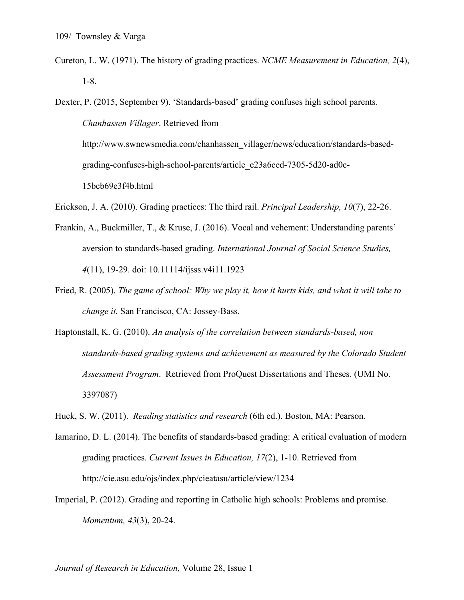Cureton, L. W. (1971). The history of grading practices. *NCME Measurement in Education, 2*(4), 1-8.

Dexter, P. (2015, September 9). 'Standards-based' grading confuses high school parents. *Chanhassen Villager*. Retrieved from http://www.swnewsmedia.com/chanhassen\_villager/news/education/standards-basedgrading-confuses-high-school-parents/article\_e23a6ced-7305-5d20-ad0c-15bcb69e3f4b.html

- Erickson, J. A. (2010). Grading practices: The third rail. *Principal Leadership, 10*(7), 22-26.
- Frankin, A., Buckmiller, T., & Kruse, J. (2016). Vocal and vehement: Understanding parents' aversion to standards-based grading. *International Journal of Social Science Studies, 4*(11), 19-29. doi: 10.11114/ijsss.v4i11.1923
- Fried, R. (2005). *The game of school: Why we play it, how it hurts kids, and what it will take to change it.* San Francisco, CA: Jossey-Bass.
- Haptonstall, K. G. (2010). *An analysis of the correlation between standards-based, non standards-based grading systems and achievement as measured by the Colorado Student Assessment Program*. Retrieved from ProQuest Dissertations and Theses. (UMI No. 3397087)
- Huck, S. W. (2011). *Reading statistics and research* (6th ed.). Boston, MA: Pearson.
- Iamarino, D. L. (2014). The benefits of standards-based grading: A critical evaluation of modern grading practices. *Current Issues in Education, 17*(2), 1-10. Retrieved from http://cie.asu.edu/ojs/index.php/cieatasu/article/view/1234
- Imperial, P. (2012). Grading and reporting in Catholic high schools: Problems and promise. *Momentum, 43*(3), 20-24.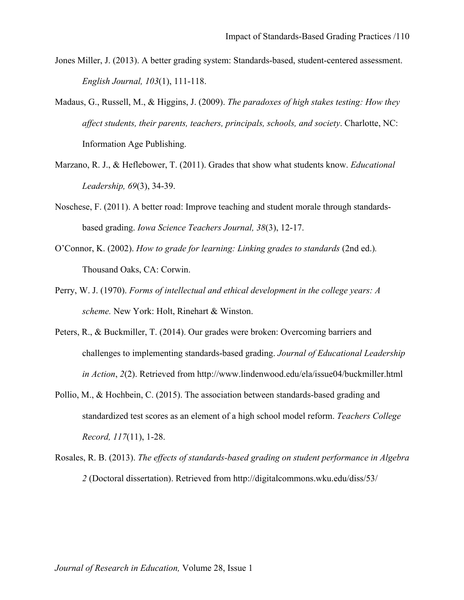- Jones Miller, J. (2013). A better grading system: Standards-based, student-centered assessment. *English Journal, 103*(1), 111-118.
- Madaus, G., Russell, M., & Higgins, J. (2009). *The paradoxes of high stakes testing: How they affect students, their parents, teachers, principals, schools, and society*. Charlotte, NC: Information Age Publishing.
- Marzano, R. J., & Heflebower, T. (2011). Grades that show what students know. *Educational Leadership, 69*(3), 34-39.
- Noschese, F. (2011). A better road: Improve teaching and student morale through standardsbased grading. *Iowa Science Teachers Journal, 38*(3), 12-17.
- O'Connor, K. (2002). *How to grade for learning: Linking grades to standards* (2nd ed.)*.* Thousand Oaks, CA: Corwin.
- Perry, W. J. (1970). *Forms of intellectual and ethical development in the college years: A scheme.* New York: Holt, Rinehart & Winston.
- Peters, R., & Buckmiller, T. (2014). Our grades were broken: Overcoming barriers and challenges to implementing standards-based grading. *Journal of Educational Leadership in Action*, *2*(2). Retrieved from http://www.lindenwood.edu/ela/issue04/buckmiller.html
- Pollio, M., & Hochbein, C. (2015). The association between standards-based grading and standardized test scores as an element of a high school model reform. *Teachers College Record, 117*(11), 1-28.
- Rosales, R. B. (2013). *The effects of standards-based grading on student performance in Algebra 2* (Doctoral dissertation). Retrieved from http://digitalcommons.wku.edu/diss/53/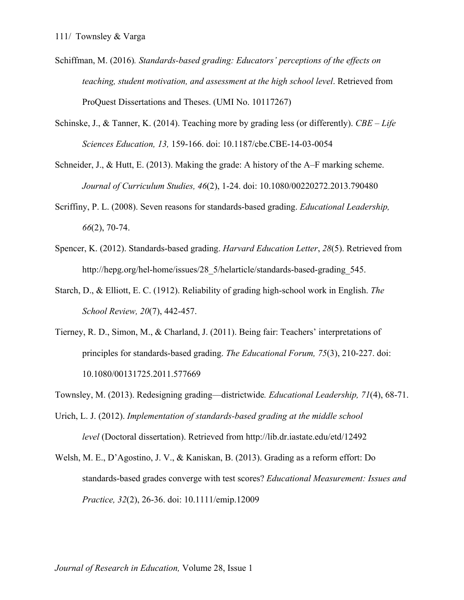- Schiffman, M. (2016)*. Standards-based grading: Educators' perceptions of the effects on teaching, student motivation, and assessment at the high school level*. Retrieved from ProQuest Dissertations and Theses. (UMI No. 10117267)
- Schinske, J., & Tanner, K. (2014). Teaching more by grading less (or differently). *CBE – Life Sciences Education, 13,* 159-166. doi: 10.1187/cbe.CBE-14-03-0054
- Schneider, J., & Hutt, E. (2013). Making the grade: A history of the A–F marking scheme. *Journal of Curriculum Studies, 46*(2), 1-24. doi: 10.1080/00220272.2013.790480
- Scriffiny, P. L. (2008). Seven reasons for standards-based grading. *Educational Leadership, 66*(2), 70-74.
- Spencer, K. (2012). Standards-based grading. *Harvard Education Letter*, *28*(5). Retrieved from http://hepg.org/hel-home/issues/28\_5/helarticle/standards-based-grading\_545.
- Starch, D., & Elliott, E. C. (1912). Reliability of grading high-school work in English. *The School Review, 20*(7), 442-457.
- Tierney, R. D., Simon, M., & Charland, J. (2011). Being fair: Teachers' interpretations of principles for standards-based grading. *The Educational Forum, 75*(3), 210-227. doi: 10.1080/00131725.2011.577669
- Townsley, M. (2013). Redesigning grading—districtwide*. Educational Leadership, 71*(4), 68-71.
- Urich, L. J. (2012). *Implementation of standards-based grading at the middle school level* (Doctoral dissertation). Retrieved from http://lib.dr.iastate.edu/etd/12492
- Welsh, M. E., D'Agostino, J. V., & Kaniskan, B. (2013). Grading as a reform effort: Do standards-based grades converge with test scores? *Educational Measurement: Issues and Practice, 32*(2), 26-36. doi: 10.1111/emip.12009